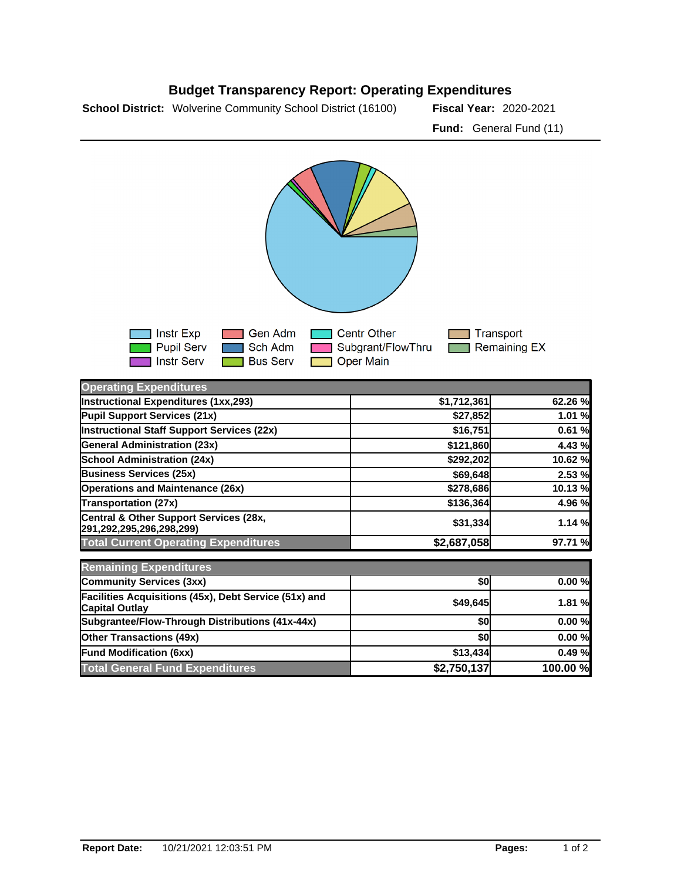



| <b>Operating Expenditures</b>                                                  |             |          |
|--------------------------------------------------------------------------------|-------------|----------|
| Instructional Expenditures (1xx,293)                                           | \$1,712,361 | 62.26 %  |
| Pupil Support Services (21x)                                                   | \$27,852    | 1.01 %   |
| Instructional Staff Support Services (22x)                                     | \$16,751    | 0.61%    |
| <b>General Administration (23x)</b>                                            | \$121,860   | 4.43 %   |
| <b>School Administration (24x)</b>                                             | \$292,202   | 10.62 %  |
| <b>Business Services (25x)</b>                                                 | \$69,648    | 2.53 %   |
| <b>Operations and Maintenance (26x)</b>                                        | \$278,686   | 10.13 %  |
| <b>Transportation (27x)</b>                                                    | \$136,364   | 4.96 %   |
| Central & Other Support Services (28x,<br> 291,292,295,296,298,299)            | \$31,334    | 1.14%    |
| <b>Total Current Operating Expenditures</b>                                    | \$2,687,058 | 97.71 %  |
| <b>Remaining Expenditures</b>                                                  |             |          |
| <b>Community Services (3xx)</b>                                                | \$0         | 0.00%    |
| Facilities Acquisitions (45x), Debt Service (51x) and<br><b>Capital Outlay</b> | \$49,645    | 1.81 %   |
| Subgrantee/Flow-Through Distributions (41x-44x)                                | \$0         | 0.00%    |
| <b>Other Transactions (49x)</b>                                                | \$0         | 0.00%    |
| <b>Fund Modification (6xx)</b>                                                 | \$13,434    | 0.49%    |
| <b>Total General Fund Expenditures</b>                                         | \$2,750,137 | 100.00 % |

## **Budget Transparency Report: Operating Expenditures**